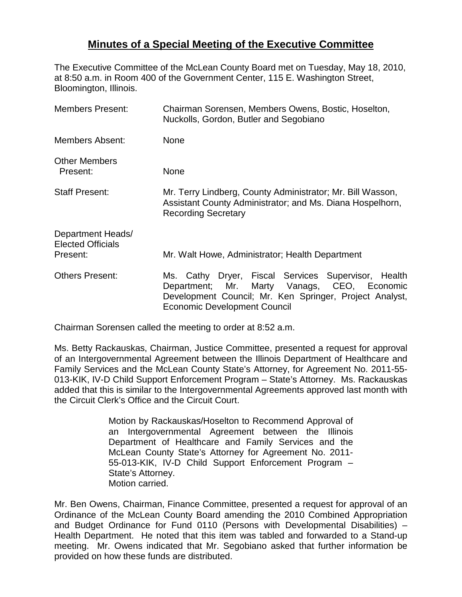## **Minutes of a Special Meeting of the Executive Committee**

The Executive Committee of the McLean County Board met on Tuesday, May 18, 2010, at 8:50 a.m. in Room 400 of the Government Center, 115 E. Washington Street, Bloomington, Illinois.

| <b>Members Present:</b>                                   | Chairman Sorensen, Members Owens, Bostic, Hoselton,<br>Nuckolls, Gordon, Butler and Segobiano                                                                                                        |
|-----------------------------------------------------------|------------------------------------------------------------------------------------------------------------------------------------------------------------------------------------------------------|
| <b>Members Absent:</b>                                    | <b>None</b>                                                                                                                                                                                          |
| <b>Other Members</b><br>Present:                          | <b>None</b>                                                                                                                                                                                          |
| <b>Staff Present:</b>                                     | Mr. Terry Lindberg, County Administrator; Mr. Bill Wasson,<br>Assistant County Administrator; and Ms. Diana Hospelhorn,<br><b>Recording Secretary</b>                                                |
| Department Heads/<br><b>Elected Officials</b><br>Present: | Mr. Walt Howe, Administrator; Health Department                                                                                                                                                      |
| <b>Others Present:</b>                                    | Ms. Cathy Dryer, Fiscal Services Supervisor, Health<br>Department; Mr. Marty Vanags, CEO, Economic<br>Development Council; Mr. Ken Springer, Project Analyst,<br><b>Economic Development Council</b> |

Chairman Sorensen called the meeting to order at 8:52 a.m.

Ms. Betty Rackauskas, Chairman, Justice Committee, presented a request for approval of an Intergovernmental Agreement between the Illinois Department of Healthcare and Family Services and the McLean County State's Attorney, for Agreement No. 2011-55- 013-KIK, IV-D Child Support Enforcement Program – State's Attorney. Ms. Rackauskas added that this is similar to the Intergovernmental Agreements approved last month with the Circuit Clerk's Office and the Circuit Court.

> Motion by Rackauskas/Hoselton to Recommend Approval of an Intergovernmental Agreement between the Illinois Department of Healthcare and Family Services and the McLean County State's Attorney for Agreement No. 2011- 55-013-KIK, IV-D Child Support Enforcement Program – State's Attorney. Motion carried.

Mr. Ben Owens, Chairman, Finance Committee, presented a request for approval of an Ordinance of the McLean County Board amending the 2010 Combined Appropriation and Budget Ordinance for Fund 0110 (Persons with Developmental Disabilities) – Health Department. He noted that this item was tabled and forwarded to a Stand-up meeting. Mr. Owens indicated that Mr. Segobiano asked that further information be provided on how these funds are distributed.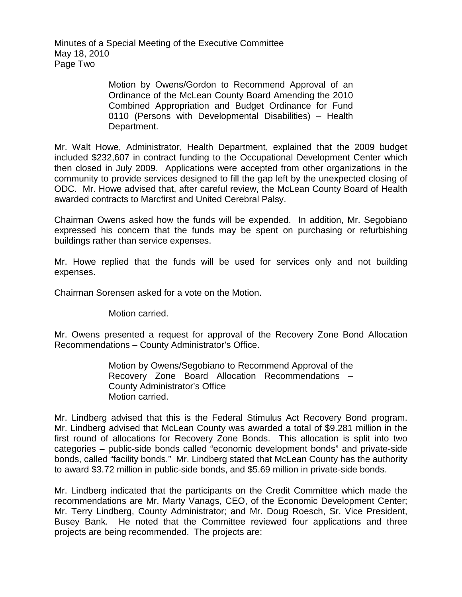Minutes of a Special Meeting of the Executive Committee May 18, 2010 Page Two

> Motion by Owens/Gordon to Recommend Approval of an Ordinance of the McLean County Board Amending the 2010 Combined Appropriation and Budget Ordinance for Fund 0110 (Persons with Developmental Disabilities) – Health Department.

Mr. Walt Howe, Administrator, Health Department, explained that the 2009 budget included \$232,607 in contract funding to the Occupational Development Center which then closed in July 2009. Applications were accepted from other organizations in the community to provide services designed to fill the gap left by the unexpected closing of ODC. Mr. Howe advised that, after careful review, the McLean County Board of Health awarded contracts to Marcfirst and United Cerebral Palsy.

Chairman Owens asked how the funds will be expended. In addition, Mr. Segobiano expressed his concern that the funds may be spent on purchasing or refurbishing buildings rather than service expenses.

Mr. Howe replied that the funds will be used for services only and not building expenses.

Chairman Sorensen asked for a vote on the Motion.

Motion carried.

Mr. Owens presented a request for approval of the Recovery Zone Bond Allocation Recommendations – County Administrator's Office.

> Motion by Owens/Segobiano to Recommend Approval of the Recovery Zone Board Allocation Recommendations – County Administrator's Office Motion carried.

Mr. Lindberg advised that this is the Federal Stimulus Act Recovery Bond program. Mr. Lindberg advised that McLean County was awarded a total of \$9.281 million in the first round of allocations for Recovery Zone Bonds. This allocation is split into two categories – public-side bonds called "economic development bonds" and private-side bonds, called "facility bonds." Mr. Lindberg stated that McLean County has the authority to award \$3.72 million in public-side bonds, and \$5.69 million in private-side bonds.

Mr. Lindberg indicated that the participants on the Credit Committee which made the recommendations are Mr. Marty Vanags, CEO, of the Economic Development Center; Mr. Terry Lindberg, County Administrator; and Mr. Doug Roesch, Sr. Vice President, Busey Bank. He noted that the Committee reviewed four applications and three projects are being recommended. The projects are: